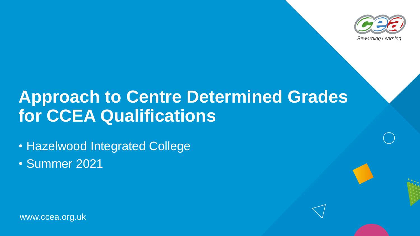

# **Approach to Centre Determined Grades for CCEA Qualifications**

• Hazelwood Integrated College

• Summer 2021

www.ccea.org.uk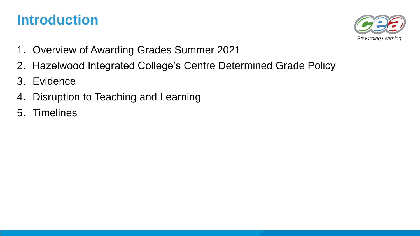## **Introduction**



- 1. Overview of Awarding Grades Summer 2021
- 2. Hazelwood Integrated College's Centre Determined Grade Policy
- 3. Evidence
- 4. Disruption to Teaching and Learning
- 5. Timelines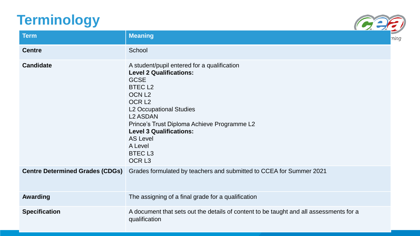## **Terminology**



| <b>Term</b>                            | <b>Meaning</b>                                                                                                                                                                                                                                                                                                                                                    |  |
|----------------------------------------|-------------------------------------------------------------------------------------------------------------------------------------------------------------------------------------------------------------------------------------------------------------------------------------------------------------------------------------------------------------------|--|
| <b>Centre</b>                          | School                                                                                                                                                                                                                                                                                                                                                            |  |
| <b>Candidate</b>                       | A student/pupil entered for a qualification<br><b>Level 2 Qualifications:</b><br><b>GCSE</b><br><b>BTECL2</b><br>OCN <sub>L2</sub><br>OCR <sub>L2</sub><br><b>L2 Occupational Studies</b><br><b>L2 ASDAN</b><br>Prince's Trust Diploma Achieve Programme L2<br><b>Level 3 Qualifications:</b><br><b>AS Level</b><br>A Level<br><b>BTECL3</b><br>OCR <sub>L3</sub> |  |
| <b>Centre Determined Grades (CDGs)</b> | Grades formulated by teachers and submitted to CCEA for Summer 2021                                                                                                                                                                                                                                                                                               |  |
| <b>Awarding</b>                        | The assigning of a final grade for a qualification                                                                                                                                                                                                                                                                                                                |  |
| <b>Specification</b>                   | A document that sets out the details of content to be taught and all assessments for a<br>qualification                                                                                                                                                                                                                                                           |  |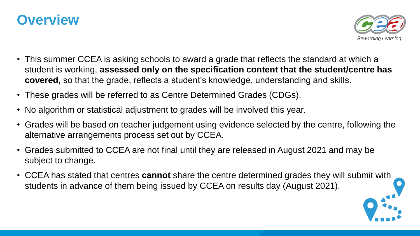



- This summer CCEA is asking schools to award a grade that reflects the standard at which a student is working, **assessed only on the specification content that the student/centre has covered,** so that the grade, reflects a student's knowledge, understanding and skills.
- These grades will be referred to as Centre Determined Grades (CDGs).
- No algorithm or statistical adjustment to grades will be involved this year.
- Grades will be based on teacher judgement using evidence selected by the centre, following the alternative arrangements process set out by CCEA.
- Grades submitted to CCEA are not final until they are released in August 2021 and may be subject to change.
- CCEA has stated that centres **cannot** share the centre determined grades they will submit with students in advance of them being issued by CCEA on results day (August 2021).

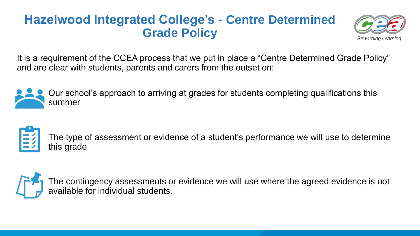#### **Hazelwood Integrated College's - Centre Determined Grade Policy**



It is a requirement of the CCEA process that we put in place a "Centre Determined Grade Policy" and are clear with students, parents and carers from the outset on:



Our school's approach to arriving at grades for students completing qualifications this summer



The type of assessment or evidence of a student's performance we will use to determine this grade

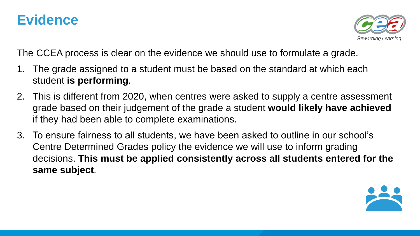### **Evidence**



The CCEA process is clear on the evidence we should use to formulate a grade.

- 1. The grade assigned to a student must be based on the standard at which each student **is performing**.
- 2. This is different from 2020, when centres were asked to supply a centre assessment grade based on their judgement of the grade a student **would likely have achieved**  if they had been able to complete examinations.
- 3. To ensure fairness to all students, we have been asked to outline in our school's Centre Determined Grades policy the evidence we will use to inform grading decisions. **This must be applied consistently across all students entered for the same subject**.

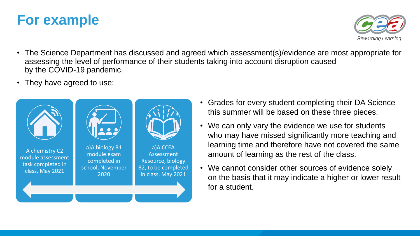## **For example**



- The Science Department has discussed and agreed which assessment(s)/evidence are most appropriate for assessing the level of performance of their students taking into account disruption caused by the COVID-19 pandemic.
- They have agreed to use:



- Grades for every student completing their DA Science this summer will be based on these three pieces.
- We can only vary the evidence we use for students who may have missed significantly more teaching and learning time and therefore have not covered the same amount of learning as the rest of the class.
- We cannot consider other sources of evidence solely on the basis that it may indicate a higher or lower result for a student.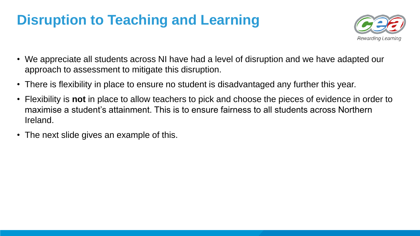## **Disruption to Teaching and Learning**



- We appreciate all students across NI have had a level of disruption and we have adapted our approach to assessment to mitigate this disruption.
- There is flexibility in place to ensure no student is disadvantaged any further this year.
- Flexibility is **not** in place to allow teachers to pick and choose the pieces of evidence in order to maximise a student's attainment. This is to ensure fairness to all students across Northern Ireland.
- The next slide gives an example of this.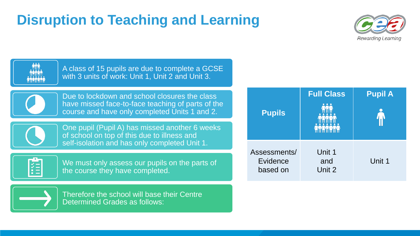# **Disruption to Teaching and Learning**





A class of 15 pupils are due to complete a GCSE with 3 units of work: Unit 1, Unit 2 and Unit 3.

Due to lockdown and school closures the class have missed face-to-face teaching of parts of the course and have only completed Units 1 and 2.



One pupil (Pupil A) has missed another 6 weeks of school on top of this due to illness and self-isolation and has only completed Unit 1.



We must only assess our pupils on the parts of the course they have completed.



Therefore the school will base their Centre Determined Grades as follows:

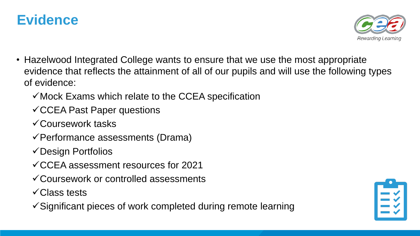



- Hazelwood Integrated College wants to ensure that we use the most appropriate evidence that reflects the attainment of all of our pupils and will use the following types of evidence:
	- $\checkmark$  Mock Exams which relate to the CCEA specification
	- CCEA Past Paper questions
	- Coursework tasks
	- Performance assessments (Drama)
	- Design Portfolios
	- CCEA assessment resources for 2021
	- Coursework or controlled assessments
	- **√Class tests**
	- $\checkmark$  Significant pieces of work completed during remote learning

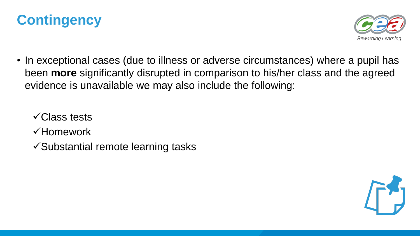



• In exceptional cases (due to illness or adverse circumstances) where a pupil has been **more** significantly disrupted in comparison to his/her class and the agreed evidence is unavailable we may also include the following:

**√Class tests** Homework  $\checkmark$  Substantial remote learning tasks

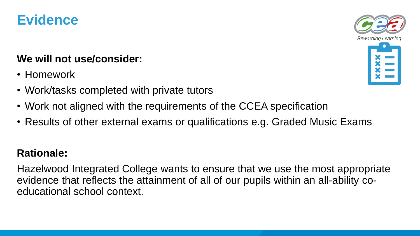

#### **We will not use/consider:**

- Homework
- Work/tasks completed with private tutors
- Work not aligned with the requirements of the CCEA specification
- Results of other external exams or qualifications e.g. Graded Music Exams

#### **Rationale:**

Hazelwood Integrated College wants to ensure that we use the most appropriate evidence that reflects the attainment of all of our pupils within an all-ability coeducational school context.

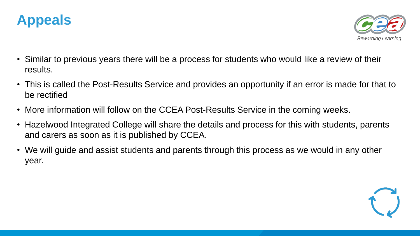



- Similar to previous years there will be a process for students who would like a review of their results.
- This is called the Post-Results Service and provides an opportunity if an error is made for that to be rectified
- More information will follow on the CCEA Post-Results Service in the coming weeks.
- Hazelwood Integrated College will share the details and process for this with students, parents and carers as soon as it is published by CCEA.
- We will guide and assist students and parents through this process as we would in any other year.

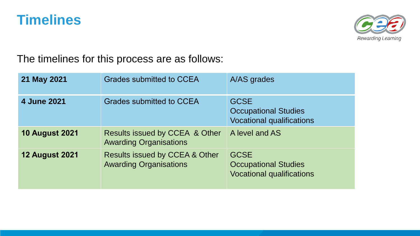### **Timelines**



The timelines for this process are as follows:

| 21 May 2021           | <b>Grades submitted to CCEA</b>                                            | A/AS grades                                                                    |
|-----------------------|----------------------------------------------------------------------------|--------------------------------------------------------------------------------|
| 4 June 2021           | Grades submitted to CCEA                                                   | <b>GCSE</b><br><b>Occupational Studies</b><br><b>Vocational qualifications</b> |
| <b>10 August 2021</b> | Results issued by CCEA & Other<br><b>Awarding Organisations</b>            | A level and AS                                                                 |
| <b>12 August 2021</b> | <b>Results issued by CCEA &amp; Other</b><br><b>Awarding Organisations</b> | <b>GCSE</b><br><b>Occupational Studies</b><br><b>Vocational qualifications</b> |